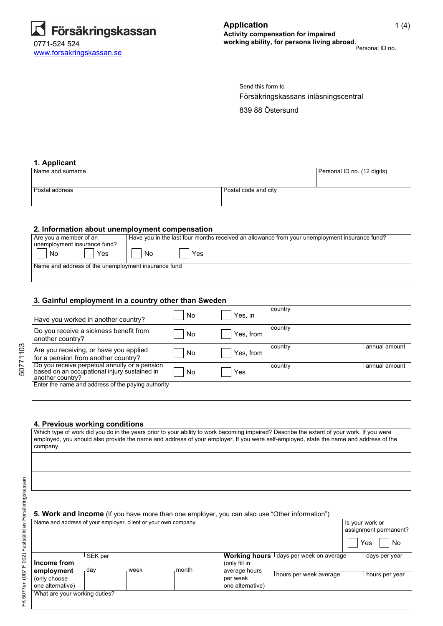

Försäkringskassans inläsningscentral 839 88 Östersund Send this form to

### **1. Applicant**

| Name and surname |                      | Personal ID no. (12 digits) |
|------------------|----------------------|-----------------------------|
|                  |                      |                             |
| l Postal address | Postal code and city |                             |
|                  |                      |                             |

### **2. Information about unemployment compensation**

| Are you a member of an                              | Have you in the last four months received an allowance from your unemployment insurance fund? |
|-----------------------------------------------------|-----------------------------------------------------------------------------------------------|
| unemployment insurance fund?                        |                                                                                               |
| Yes<br>No                                           | Yes<br>No                                                                                     |
| Name and address of the unemployment insurance fund |                                                                                               |
|                                                     |                                                                                               |
|                                                     |                                                                                               |
|                                                     |                                                                                               |

### **3. Gainful employment in a country other than Sweden**

| Have you worked in another country?                                                                               | No | Yes, in   | country   |               |
|-------------------------------------------------------------------------------------------------------------------|----|-----------|-----------|---------------|
| Do you receive a sickness benefit from<br>another country?                                                        | No | Yes, from | country   |               |
| Are you receiving, or have you applied<br>for a pension from another country?                                     | No | Yes, from | l country | annual amount |
| Do you receive perpetual annuity or a pension<br>based on an occupational injury sustained in<br>another country? | No | Yes       | country   | annual amount |
| Enter the name and address of the paying authority                                                                |    |           |           |               |

## **4. Previous working conditions**

| company.                                                       |         |      |       |                  | Which type of work did you do in the years prior to your ability to work becoming impaired? Describe the extent of your work. If you were<br>employed, you should also provide the name and address of your employer. If you were self-employed, state the name and address of the |                                          |
|----------------------------------------------------------------|---------|------|-------|------------------|------------------------------------------------------------------------------------------------------------------------------------------------------------------------------------------------------------------------------------------------------------------------------------|------------------------------------------|
|                                                                |         |      |       |                  |                                                                                                                                                                                                                                                                                    |                                          |
|                                                                |         |      |       |                  |                                                                                                                                                                                                                                                                                    |                                          |
|                                                                |         |      |       |                  | <b>5. Work and income</b> (If you have more than one employer, you can also use "Other information")                                                                                                                                                                               |                                          |
| Name and address of your employer, client or your own company. |         |      |       |                  |                                                                                                                                                                                                                                                                                    | Is your work or<br>assignment permanent? |
|                                                                |         |      |       |                  |                                                                                                                                                                                                                                                                                    | Yes<br>No.                               |
|                                                                | SEK per |      |       |                  | Working hours I days per week on average                                                                                                                                                                                                                                           | days per year                            |
| Income from                                                    |         |      |       | (only fill in    |                                                                                                                                                                                                                                                                                    |                                          |
| employment                                                     | day     | week | month | average hours    | I hours per week average                                                                                                                                                                                                                                                           | l hours per year                         |
| (only choose                                                   |         |      |       | per week         |                                                                                                                                                                                                                                                                                    |                                          |
| one alternative)                                               |         |      |       | one alternative) |                                                                                                                                                                                                                                                                                    |                                          |

What are your working duties?

FK 5077en (007 F 002) Fastställd av Försäkringskassan

FK 5077en (007 F 002) Fastställd av Försäkringskassan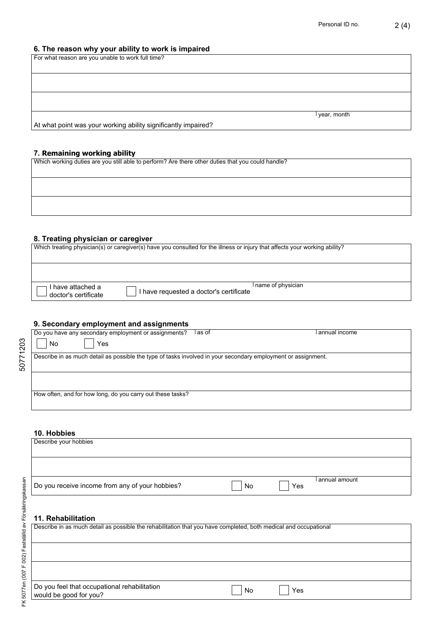# **6. The reason why your ability to work is impaired**

| For what reason are you unable to work full time?              |             |
|----------------------------------------------------------------|-------------|
|                                                                |             |
|                                                                |             |
|                                                                |             |
|                                                                |             |
|                                                                |             |
|                                                                | year, month |
| At what point was your working ability significantly impaired? |             |

### **7. Remaining working ability**

Which working duties are you still able to perform? Are there other duties that you could handle?

# **8. Treating physician or caregiver**

| Which treating physician(s) or caregiver(s) have you consulted for the illness or injury that affects your working ability? |                                         |                     |  |  |
|-----------------------------------------------------------------------------------------------------------------------------|-----------------------------------------|---------------------|--|--|
|                                                                                                                             |                                         |                     |  |  |
| I have attached a<br>doctor's certificate                                                                                   | I have requested a doctor's certificate | I name of physician |  |  |

# **9. Secondary employment and assignments**

| Do you have any secondary employment or assignments?                                                          | as of | l annual income |
|---------------------------------------------------------------------------------------------------------------|-------|-----------------|
| No<br>Yes                                                                                                     |       |                 |
| Describe in as much detail as possible the type of tasks involved in your secondary employment or assignment. |       |                 |
|                                                                                                               |       |                 |
|                                                                                                               |       |                 |
|                                                                                                               |       |                 |
|                                                                                                               |       |                 |
| How often, and for how long, do you carry out these tasks?                                                    |       |                 |
|                                                                                                               |       |                 |

## **10. Hobbies**

| Describe your hobbies                           |    |     |                 |
|-------------------------------------------------|----|-----|-----------------|
|                                                 |    |     |                 |
| Do you receive income from any of your hobbies? | No | Yes | l annual amount |

# **11. Rehabilitation**

| Describe in as much detail as possible the rehabilitation that you have completed, both medical and occupational |    |     |  |  |
|------------------------------------------------------------------------------------------------------------------|----|-----|--|--|
|                                                                                                                  |    |     |  |  |
|                                                                                                                  |    |     |  |  |
| Do you feel that occupational rehabilitation<br>would be good for you?                                           | No | Yes |  |  |

50771203

50771203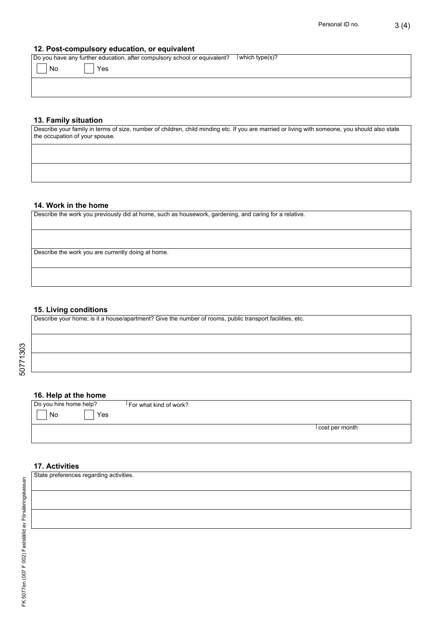### **12. Post-compulsory education, or equivalent**

Do you have any further education, after compulsory school or equivalent? l which type(s)?

| $\mathcal{L}$<br>$\vert$ No<br>×. | __<br>  Yes |  |  |  |  |
|-----------------------------------|-------------|--|--|--|--|
|                                   |             |  |  |  |  |

### **13. Family situation**

Describe your family in terms of size, number of children, child minding etc. If you are married or living with someone, you should also state the occupation of your spouse.

#### **14. Work in the home**

Describe the work you previously did at home, such as housework, gardening, and caring for a relative.

Describe the work you are currently doing at home.

### **15. Living conditions**

Describe your home; is it a house/apartment? Give the number of rooms, public transport facilities, etc.

### **16. Help at the home**

Do you hire home help?

For what kind of work?

No Yes

cost per month

### **17. Activities**

State preferences regarding activities.